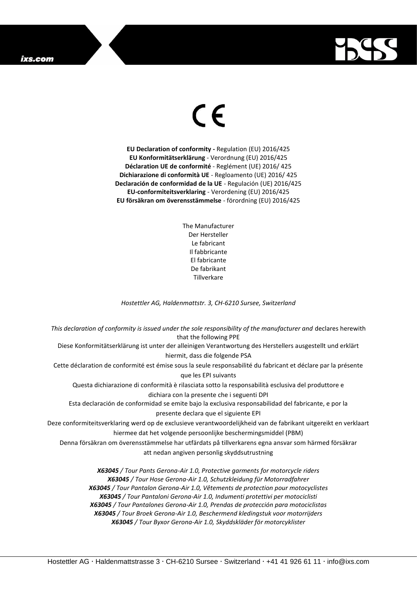## ixs.com



## $\epsilon$

**EU Declaration of conformity -** Regulation (EU) 2016/425 **EU Konformitätserklärung** - Verordnung (EU) 2016/425 **Déclaration UE de conformité** - Reglément (UE) 2016/ 425 **Dichiarazione di conformità UE** - Regloamento (UE) 2016/ 425 **Declaración de conformidad de la UE** - Regulación (UE) 2016/425 **EU-conformiteitsverklaring** - Verordening (EU) 2016/425 **EU försäkran om överensstämmelse** - förordning (EU) 2016/425

> The Manufacturer Der Hersteller Le fabricant Il fabbricante El fabricante De fabrikant **Tillverkare**

*Hostettler AG, Haldenmattstr. 3, CH-6210 Sursee, Switzerland*

*This declaration of conformity is issued under the sole responsibility of the manufacturer and* declares herewith that the following PPE Diese Konformitätserklärung ist unter der alleinigen Verantwortung des Herstellers ausgestellt und erklärt hiermit, dass die folgende PSA Cette déclaration de conformité est émise sous la seule responsabilité du fabricant et déclare par la présente que les EPI suivants Questa dichiarazione di conformità è rilasciata sotto la responsabilità esclusiva del produttore e dichiara con la presente che i seguenti DPI Esta declaración de conformidad se emite bajo la exclusiva responsabilidad del fabricante, e por la presente declara que el siguiente EPI Deze conformiteitsverklaring werd op de exclusieve verantwoordelijkheid van de fabrikant uitgereikt en verklaart hiermee dat het volgende persoonlijke beschermingsmiddel (PBM) Denna försäkran om överensstämmelse har utfärdats på tillverkarens egna ansvar som härmed försäkrar att nedan angiven personlig skyddsutrustning *X63045 / Tour Pants Gerona-Air 1.0, Protective garments for motorcycle riders X63045 / Tour Hose Gerona-Air 1.0, Schutzkleidung für Motorradfahrer X63045 / Tour Pantalon Gerona-Air 1.0, Vêtements de protection pour motocyclistes X63045 / Tour Pantaloni Gerona-Air 1.0, Indumenti protettivi per motociclisti*

*X63045 / Tour Pantalones Gerona-Air 1.0, Prendas de protección para motociclistas*

*X63045 / Tour Broek Gerona-Air 1.0, Beschermend kledingstuk voor motorrijders X63045 / Tour Byxor Gerona-Air 1.0, Skyddskläder för motorcyklister*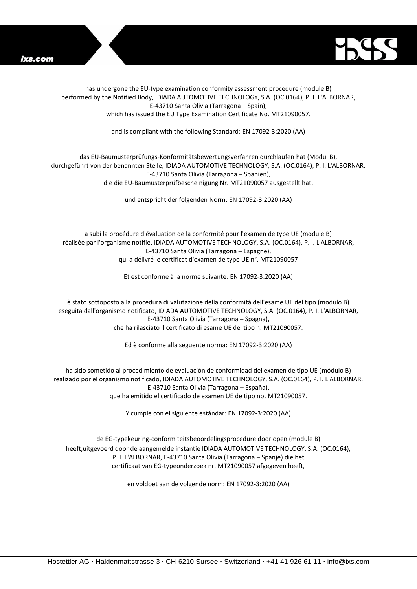



has undergone the EU-type examination conformity assessment procedure (module B) performed by the Notified Body, IDIADA AUTOMOTIVE TECHNOLOGY, S.A. (OC.0164), P. I. L'ALBORNAR, E-43710 Santa Olivia (Tarragona – Spain), which has issued the EU Type Examination Certificate No. MT21090057.

and is compliant with the following Standard: EN 17092-3:2020 (AA)

## das EU-Baumusterprüfungs-Konformitätsbewertungsverfahren durchlaufen hat (Modul B), durchgeführt von der benannten Stelle, IDIADA AUTOMOTIVE TECHNOLOGY, S.A. (OC.0164), P. I. L'ALBORNAR, E-43710 Santa Olivia (Tarragona – Spanien), die die EU-Baumusterprüfbescheinigung Nr. MT21090057 ausgestellt hat.

und entspricht der folgenden Norm: EN 17092-3:2020 (AA)

a subi la procédure d'évaluation de la conformité pour l'examen de type UE (module B) réalisée par l'organisme notifié, IDIADA AUTOMOTIVE TECHNOLOGY, S.A. (OC.0164), P. I. L'ALBORNAR, E-43710 Santa Olivia (Tarragona – Espagne), qui a délivré le certificat d'examen de type UE n°. MT21090057

Et est conforme à la norme suivante: EN 17092-3:2020 (AA)

è stato sottoposto alla procedura di valutazione della conformità dell'esame UE del tipo (modulo B) eseguita dall'organismo notificato, IDIADA AUTOMOTIVE TECHNOLOGY, S.A. (OC.0164), P. I. L'ALBORNAR, E-43710 Santa Olivia (Tarragona – Spagna), che ha rilasciato il certificato di esame UE del tipo n. MT21090057.

Ed è conforme alla seguente norma: EN 17092-3:2020 (AA)

ha sido sometido al procedimiento de evaluación de conformidad del examen de tipo UE (módulo B) realizado por el organismo notificado, IDIADA AUTOMOTIVE TECHNOLOGY, S.A. (OC.0164), P. I. L'ALBORNAR, E-43710 Santa Olivia (Tarragona – España), que ha emitido el certificado de examen UE de tipo no. MT21090057.

Y cumple con el siguiente estándar: EN 17092-3:2020 (AA)

de EG-typekeuring-conformiteitsbeoordelingsprocedure doorlopen (module B) heeft,uitgevoerd door de aangemelde instantie IDIADA AUTOMOTIVE TECHNOLOGY, S.A. (OC.0164), P. I. L'ALBORNAR, E-43710 Santa Olivia (Tarragona – Spanje) die het certificaat van EG-typeonderzoek nr. MT21090057 afgegeven heeft,

en voldoet aan de volgende norm: EN 17092-3:2020 (AA)